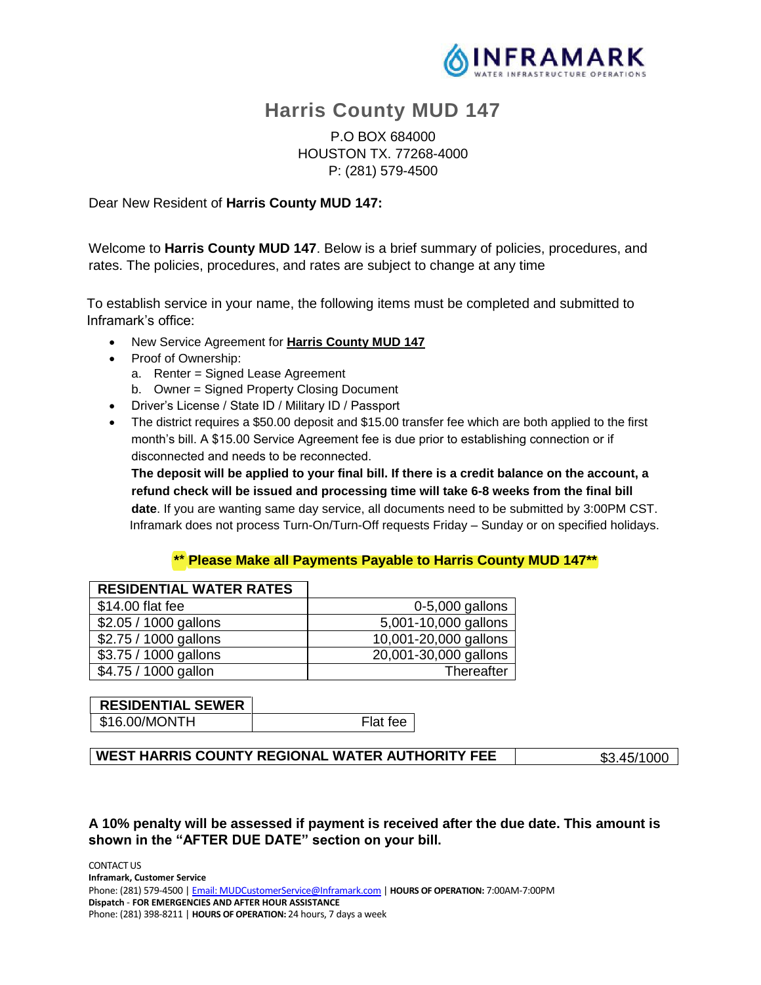

# **Harris County MUD 147**

P.O BOX 684000 HOUSTON TX. 77268-4000 P: (281) 579-4500

#### Dear New Resident of **Harris County MUD 147:**

Welcome to **Harris County MUD 147**. Below is a brief summary of policies, procedures, and rates. The policies, procedures, and rates are subject to change at any time

To establish service in your name, the following items must be completed and submitted to Inframark's office:

- New Service Agreement for **Harris County MUD 147**
- Proof of Ownership:
	- a. Renter = Signed Lease Agreement
	- b. Owner = Signed Property Closing Document
- Driver's License / State ID / Military ID / Passport
- The district requires a \$50.00 deposit and \$15.00 transfer fee which are both applied to the first month's bill. A \$15.00 Service Agreement fee is due prior to establishing connection or if disconnected and needs to be reconnected.

**The deposit will be applied to your final bill. If there is a credit balance on the account, a refund check will be issued and processing time will take 6-8 weeks from the final bill date**. If you are wanting same day service, all documents need to be submitted by 3:00PM CST. Inframark does not process Turn-On/Turn-Off requests Friday – Sunday or on specified holidays.

## **\*\* Please Make all Payments Payable to Harris County MUD 147\*\***

| <b>RESIDENTIAL WATER RATES</b> |                       |
|--------------------------------|-----------------------|
| \$14.00 flat fee               | 0-5,000 gallons       |
| \$2.05 / 1000 gallons          | 5,001-10,000 gallons  |
| \$2.75 / 1000 gallons          | 10,001-20,000 gallons |
| \$3.75 / 1000 gallons          | 20,001-30,000 gallons |
| \$4.75 / 1000 gallon           | Thereafter            |

# **RESIDENTIAL SEWER** \$16.00/MONTH Flat fee

**WEST HARRIS COUNTY REGIONAL WATER AUTHORITY FEE**  $\frac{1}{33.45/1000}$ 

**A 10% penalty will be assessed if payment is received after the due date. This amount is shown in the "AFTER DUE DATE" section on your bill.**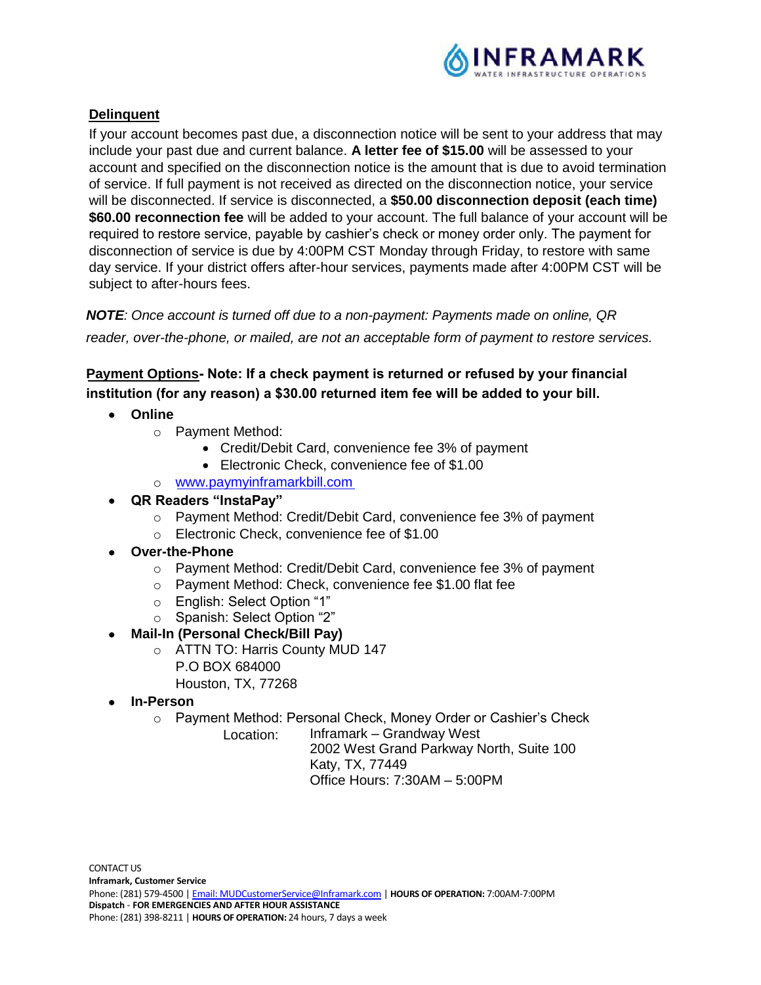

# **Delinquent**

If your account becomes past due, a disconnection notice will be sent to your address that may include your past due and current balance. **A letter fee of \$15.00** will be assessed to your account and specified on the disconnection notice is the amount that is due to avoid termination of service. If full payment is not received as directed on the disconnection notice, your service will be disconnected. If service is disconnected, a **\$50.00 disconnection deposit (each time) \$60.00 reconnection fee** will be added to your account. The full balance of your account will be required to restore service, payable by cashier's check or money order only. The payment for disconnection of service is due by 4:00PM CST Monday through Friday, to restore with same day service. If your district offers after-hour services, payments made after 4:00PM CST will be subject to after-hours fees.

*NOTE: Once account is turned off due to a non-payment: Payments made on online, QR reader, over-the-phone, or mailed, are not an acceptable form of payment to restore services.*

**Payment Options Note: If a check payment is returned or refused by your financial institution (for any reason) a \$30.00 returned item fee will be added to your bill.**

- **Online**
	- o Payment Method:
		- Credit/Debit Card, convenience fee 3% of payment
		- Electronic Check, convenience fee of \$1.00
	- o www.paymyinframarkbill.com

# • **QR Readers "InstaPay"**

- o Payment Method: Credit/Debit Card, convenience fee 3% of payment
- o Electronic Check, convenience fee of \$1.00
- **Over-the-Phone**
	- o Payment Method: Credit/Debit Card, convenience fee 3% of payment
	- o Payment Method: Check, convenience fee \$1.00 flat fee
	- o English: Select Option "1"
	- o Spanish: Select Option "2"
	- **Mail-In (Personal Check/Bill Pay)**
		- o ATTN TO: Harris County MUD 147 P.O BOX 684000 Houston, TX, 77268
- **In-Person**
	- o Payment Method: Personal Check, Money Order or Cashier's Check

Inframark – Grandway West 2002 West Grand Parkway North, Suite 100 Katy, TX, 77449 Office Hours: 7:30AM – 5:00PM Location: